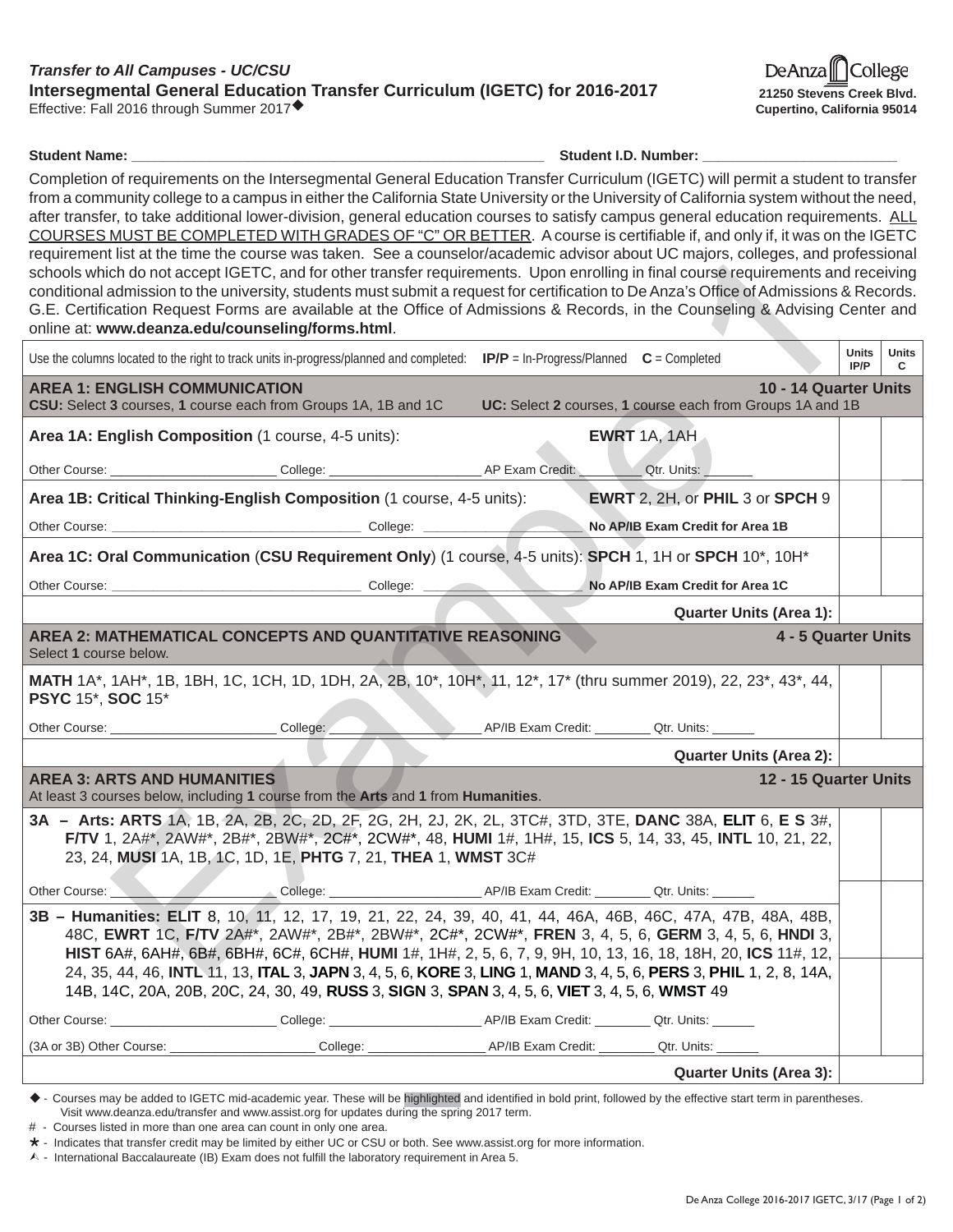## *Transfer to All Campuses - UC/CSU* **Intersegmental General Education Transfer Curriculum (IGETC) for 2016-2017** Effective: Fall 2016 through Summer 2017

De Anza College **21250 Stevens Creek Blvd. Cupertino, California 95014**

## **Student Name: Contained Act 2012 12:00 Student I.D. Number: Contained Act 2013**

Completion of requirements on the Intersegmental General Education Transfer Curriculum (IGETC) will permit a student to transfer from a community college to a campus in either the California State University or the University of California system without the need, after transfer, to take additional lower-division, general education courses to satisfy campus general education requirements. ALL COURSES MUST BE COMPLETED WITH GRADES OF "C" OR BETTER. A course is certifiable if, and only if, it was on the IGETC requirement list at the time the course was taken. See a counselor/academic advisor about UC majors, colleges, and professional schools which do not accept IGETC, and for other transfer requirements. Upon enrolling in final course requirements and receiving conditional admission to the university, students must submit a request for certification to De Anza's Office of Admissions & Records. G.E. Certification Request Forms are available at the Office of Admissions & Records, in the Counseling & Advising Center and online at: **www.deanza.edu/counseling/forms.html**.

| online at: www.deanza.edu/counseling/forms.html.                                                                                                                                                                                                                                                                                   | schools which do not accept IGETC, and for other transfer requirements. Upon enrolling in final course requirements and receiving<br>conditional admission to the university, students must submit a request for certification to De Anza's Office of Admissions & Records.<br>G.E. Certification Request Forms are available at the Office of Admissions & Records, in the Counseling & Advising Center and |  |                                                             |               |                    |  |
|------------------------------------------------------------------------------------------------------------------------------------------------------------------------------------------------------------------------------------------------------------------------------------------------------------------------------------|--------------------------------------------------------------------------------------------------------------------------------------------------------------------------------------------------------------------------------------------------------------------------------------------------------------------------------------------------------------------------------------------------------------|--|-------------------------------------------------------------|---------------|--------------------|--|
|                                                                                                                                                                                                                                                                                                                                    | Use the columns located to the right to track units in-progress/planned and completed: $IP/P = \ln\text{-Progress/Planned } C = \text{Complete}$                                                                                                                                                                                                                                                             |  |                                                             | Units<br>IP/P | <b>Units</b><br>C. |  |
| <b>AREA 1: ENGLISH COMMUNICATION</b><br>10 - 14 Quarter Units<br>UC: Select 2 courses, 1 course each from Groups 1A and 1B<br>CSU: Select 3 courses, 1 course each from Groups 1A, 1B and 1C                                                                                                                                       |                                                                                                                                                                                                                                                                                                                                                                                                              |  |                                                             |               |                    |  |
| Area 1A: English Composition (1 course, 4-5 units):                                                                                                                                                                                                                                                                                |                                                                                                                                                                                                                                                                                                                                                                                                              |  | EWRT 1A, 1AH                                                |               |                    |  |
|                                                                                                                                                                                                                                                                                                                                    |                                                                                                                                                                                                                                                                                                                                                                                                              |  |                                                             |               |                    |  |
| Area 1B: Critical Thinking-English Composition (1 course, 4-5 units): EWRT 2, 2H, or PHIL 3 or SPCH 9                                                                                                                                                                                                                              |                                                                                                                                                                                                                                                                                                                                                                                                              |  |                                                             |               |                    |  |
|                                                                                                                                                                                                                                                                                                                                    |                                                                                                                                                                                                                                                                                                                                                                                                              |  |                                                             |               |                    |  |
| Area 1C: Oral Communication (CSU Requirement Only) (1 course, 4-5 units): SPCH 1, 1H or SPCH 10*, 10H*                                                                                                                                                                                                                             |                                                                                                                                                                                                                                                                                                                                                                                                              |  |                                                             |               |                    |  |
|                                                                                                                                                                                                                                                                                                                                    |                                                                                                                                                                                                                                                                                                                                                                                                              |  |                                                             |               |                    |  |
|                                                                                                                                                                                                                                                                                                                                    |                                                                                                                                                                                                                                                                                                                                                                                                              |  | <b>Quarter Units (Area 1):</b>                              |               |                    |  |
| AREA 2: MATHEMATICAL CONCEPTS AND QUANTITATIVE REASONING<br>4 - 5 Quarter Units<br>Select 1 course below.                                                                                                                                                                                                                          |                                                                                                                                                                                                                                                                                                                                                                                                              |  |                                                             |               |                    |  |
| <b>PSYC 15*, SOC 15*</b>                                                                                                                                                                                                                                                                                                           | MATH 1A*, 1AH*, 1B, 1BH, 1C, 1CH, 1D, 1DH, 2A, 2B, 10*, 10H*, 11, 12*, 17* (thru summer 2019), 22, 23*, 43*, 44,                                                                                                                                                                                                                                                                                             |  |                                                             |               |                    |  |
| Other Course: _______________________________College: ______                                                                                                                                                                                                                                                                       |                                                                                                                                                                                                                                                                                                                                                                                                              |  | AP/IB Exam Credit: <u>Cambridge Current Current Current</u> |               |                    |  |
|                                                                                                                                                                                                                                                                                                                                    |                                                                                                                                                                                                                                                                                                                                                                                                              |  | <b>Quarter Units (Area 2):</b>                              |               |                    |  |
| <b>AREA 3: ARTS AND HUMANITIES</b>                                                                                                                                                                                                                                                                                                 | At least 3 courses below, including 1 course from the Arts and 1 from Humanities.                                                                                                                                                                                                                                                                                                                            |  | 12 - 15 Quarter Units                                       |               |                    |  |
|                                                                                                                                                                                                                                                                                                                                    | 3A - Arts: ARTS 1A, 1B, 2A, 2B, 2C, 2D, 2F, 2G, 2H, 2J, 2K, 2L, 3TC#, 3TD, 3TE, DANC 38A, ELIT 6, E S 3#,<br>F/TV 1, 2A#*, 2AW#*, 2B#*, 2BW#*, 2C#*, 2CW#*, 48, HUMI 1#, 1H#, 15, ICS 5, 14, 33, 45, INTL 10, 21, 22,<br>23, 24, MUSI 1A, 1B, 1C, 1D, 1E, PHTG 7, 21, THEA 1, WMST 3C#                                                                                                                       |  |                                                             |               |                    |  |
|                                                                                                                                                                                                                                                                                                                                    |                                                                                                                                                                                                                                                                                                                                                                                                              |  |                                                             |               |                    |  |
| 3B - Humanities: ELIT 8, 10, 11, 12, 17, 19, 21, 22, 24, 39, 40, 41, 44, 46A, 46B, 46C, 47A, 47B, 48A, 48B,<br>48C, EWRT 1C, F/TV 2A#*, 2AW#*, 2B#*, 2BW#*, 2C#*, 2CW#*, FREN 3, 4, 5, 6, GERM 3, 4, 5, 6, HNDI 3,<br>HIST 6A#, 6AH#, 6B#, 6BH#, 6C#, 6CH#, HUMI 1#, 1H#, 2, 5, 6, 7, 9, 9H, 10, 13, 16, 18, 18H, 20, ICS 11#, 12, |                                                                                                                                                                                                                                                                                                                                                                                                              |  |                                                             |               |                    |  |
| 24, 35, 44, 46, INTL 11, 13, ITAL 3, JAPN 3, 4, 5, 6, KORE 3, LING 1, MAND 3, 4, 5, 6, PERS 3, PHIL 1, 2, 8, 14A,<br>14B, 14C, 20A, 20B, 20C, 24, 30, 49, RUSS 3, SIGN 3, SPAN 3, 4, 5, 6, VIET 3, 4, 5, 6, WMST 49                                                                                                                |                                                                                                                                                                                                                                                                                                                                                                                                              |  |                                                             |               |                    |  |
|                                                                                                                                                                                                                                                                                                                                    | Other Course: College: College: College: AP/IB Exam Credit: Carrier Qtr. Units: College: College: AP/IB Exam Credit: Course: 2011.                                                                                                                                                                                                                                                                           |  |                                                             |               |                    |  |
|                                                                                                                                                                                                                                                                                                                                    |                                                                                                                                                                                                                                                                                                                                                                                                              |  |                                                             |               |                    |  |
|                                                                                                                                                                                                                                                                                                                                    |                                                                                                                                                                                                                                                                                                                                                                                                              |  | <b>Quarter Units (Area 3):</b>                              |               |                    |  |

- Courses may be added to IGETC mid-academic year. These will be highlighted and identified in bold print, followed by the effective start term in parentheses. Visit www.deanza.edu/transfer and www.assist.org for updates during the spring 2017 term.

# - Courses listed in more than one area can count in only one area.

 $\star$  - Indicates that transfer credit may be limited by either UC or CSU or both. See www.assist.org for more information.

 $\wedge$  - International Baccalaureate (IB) Exam does not fulfill the laboratory requirement in Area 5.